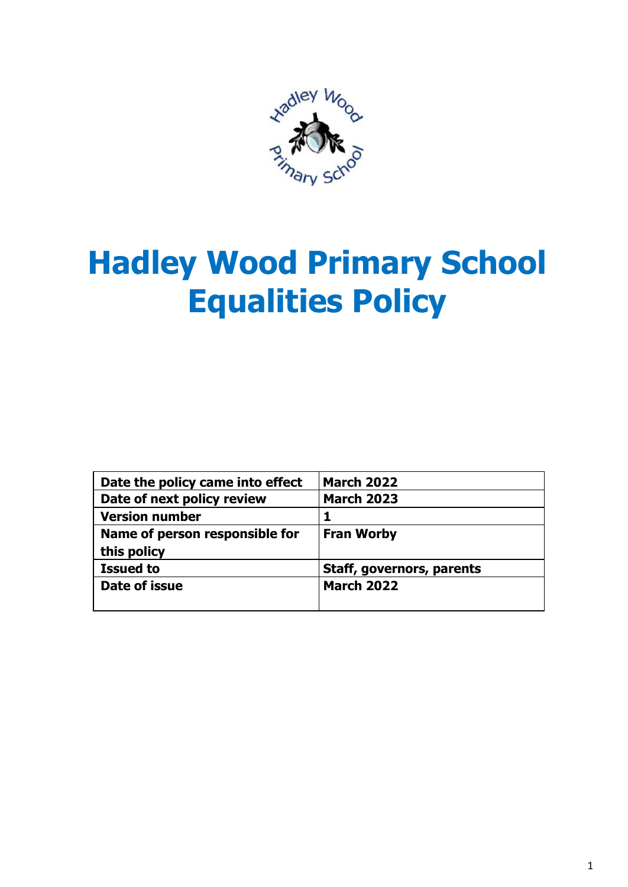

# **Hadley Wood Primary School Equalities Policy**

| Date the policy came into effect | <b>March 2022</b>         |
|----------------------------------|---------------------------|
| Date of next policy review       | <b>March 2023</b>         |
| <b>Version number</b>            |                           |
| Name of person responsible for   | <b>Fran Worby</b>         |
| this policy                      |                           |
| <b>Issued to</b>                 | Staff, governors, parents |
| Date of issue                    | <b>March 2022</b>         |
|                                  |                           |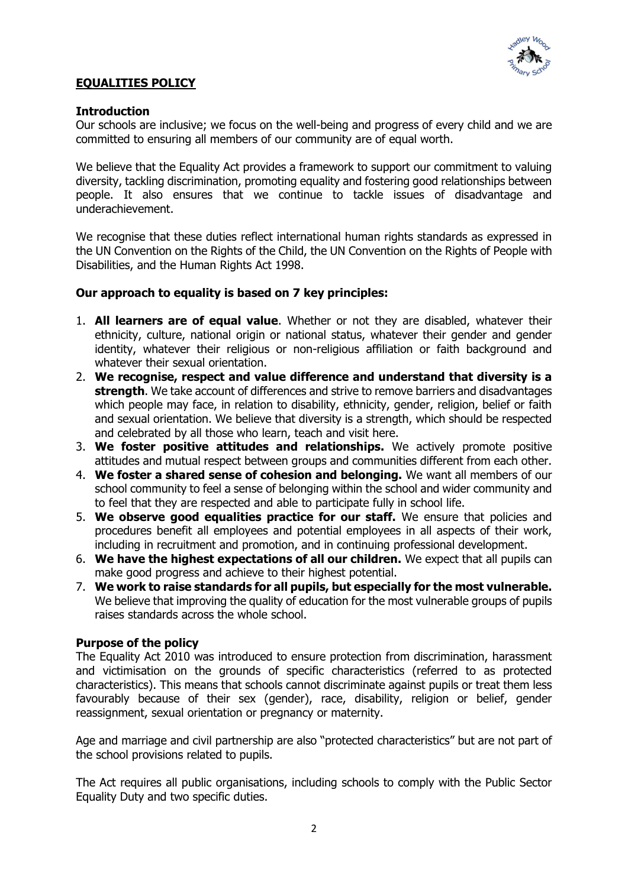

## **EQUALITIES POLICY**

## **Introduction**

Our schools are inclusive; we focus on the well-being and progress of every child and we are committed to ensuring all members of our community are of equal worth.

We believe that the Equality Act provides a framework to support our commitment to valuing diversity, tackling discrimination, promoting equality and fostering good relationships between people. It also ensures that we continue to tackle issues of disadvantage and underachievement.

We recognise that these duties reflect international human rights standards as expressed in the UN Convention on the Rights of the Child, the UN Convention on the Rights of People with Disabilities, and the Human Rights Act 1998.

## **Our approach to equality is based on 7 key principles:**

- 1. **All learners are of equal value**. Whether or not they are disabled, whatever their ethnicity, culture, national origin or national status, whatever their gender and gender identity, whatever their religious or non-religious affiliation or faith background and whatever their sexual orientation.
- 2. **We recognise, respect and value difference and understand that diversity is a strength**. We take account of differences and strive to remove barriers and disadvantages which people may face, in relation to disability, ethnicity, gender, religion, belief or faith and sexual orientation. We believe that diversity is a strength, which should be respected and celebrated by all those who learn, teach and visit here.
- 3. **We foster positive attitudes and relationships.** We actively promote positive attitudes and mutual respect between groups and communities different from each other.
- 4. **We foster a shared sense of cohesion and belonging.** We want all members of our school community to feel a sense of belonging within the school and wider community and to feel that they are respected and able to participate fully in school life.
- 5. **We observe good equalities practice for our staff.** We ensure that policies and procedures benefit all employees and potential employees in all aspects of their work, including in recruitment and promotion, and in continuing professional development.
- 6. **We have the highest expectations of all our children.** We expect that all pupils can make good progress and achieve to their highest potential.
- 7. **We work to raise standards for all pupils, but especially for the most vulnerable.** We believe that improving the quality of education for the most vulnerable groups of pupils raises standards across the whole school.

#### **Purpose of the policy**

The Equality Act 2010 was introduced to ensure protection from discrimination, harassment and victimisation on the grounds of specific characteristics (referred to as protected characteristics). This means that schools cannot discriminate against pupils or treat them less favourably because of their sex (gender), race, disability, religion or belief, gender reassignment, sexual orientation or pregnancy or maternity.

Age and marriage and civil partnership are also "protected characteristics" but are not part of the school provisions related to pupils.

The Act requires all public organisations, including schools to comply with the Public Sector Equality Duty and two specific duties.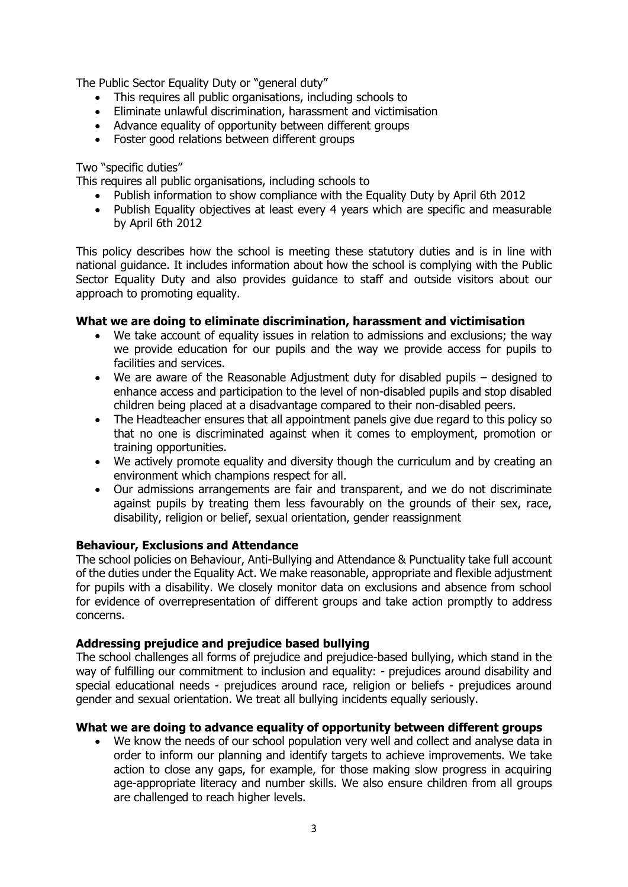The Public Sector Equality Duty or "general duty"

- This requires all public organisations, including schools to
- Eliminate unlawful discrimination, harassment and victimisation
- Advance equality of opportunity between different groups
- Foster good relations between different groups

#### Two "specific duties"

This requires all public organisations, including schools to

- Publish information to show compliance with the Equality Duty by April 6th 2012
- Publish Equality objectives at least every 4 years which are specific and measurable by April 6th 2012

This policy describes how the school is meeting these statutory duties and is in line with national guidance. It includes information about how the school is complying with the Public Sector Equality Duty and also provides guidance to staff and outside visitors about our approach to promoting equality.

## **What we are doing to eliminate discrimination, harassment and victimisation**

- We take account of equality issues in relation to admissions and exclusions; the way we provide education for our pupils and the way we provide access for pupils to facilities and services.
- We are aware of the Reasonable Adjustment duty for disabled pupils designed to enhance access and participation to the level of non-disabled pupils and stop disabled children being placed at a disadvantage compared to their non-disabled peers.
- The Headteacher ensures that all appointment panels give due regard to this policy so that no one is discriminated against when it comes to employment, promotion or training opportunities.
- We actively promote equality and diversity though the curriculum and by creating an environment which champions respect for all.
- Our admissions arrangements are fair and transparent, and we do not discriminate against pupils by treating them less favourably on the grounds of their sex, race, disability, religion or belief, sexual orientation, gender reassignment

#### **Behaviour, Exclusions and Attendance**

The school policies on Behaviour, Anti-Bullying and Attendance & Punctuality take full account of the duties under the Equality Act. We make reasonable, appropriate and flexible adjustment for pupils with a disability. We closely monitor data on exclusions and absence from school for evidence of overrepresentation of different groups and take action promptly to address concerns.

#### **Addressing prejudice and prejudice based bullying**

The school challenges all forms of prejudice and prejudice-based bullying, which stand in the way of fulfilling our commitment to inclusion and equality: - prejudices around disability and special educational needs - prejudices around race, religion or beliefs - prejudices around gender and sexual orientation. We treat all bullying incidents equally seriously.

#### **What we are doing to advance equality of opportunity between different groups**

 We know the needs of our school population very well and collect and analyse data in order to inform our planning and identify targets to achieve improvements. We take action to close any gaps, for example, for those making slow progress in acquiring age-appropriate literacy and number skills. We also ensure children from all groups are challenged to reach higher levels.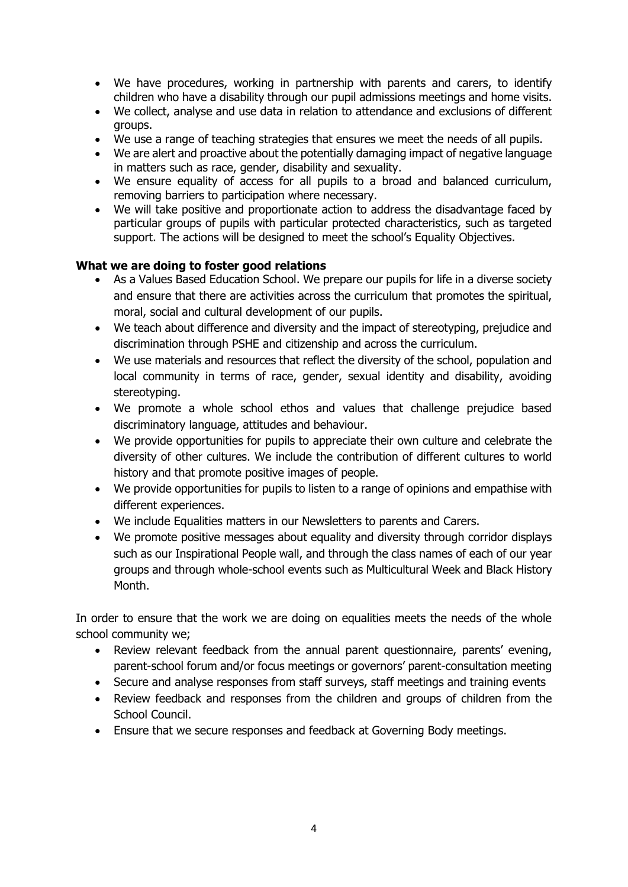- We have procedures, working in partnership with parents and carers, to identify children who have a disability through our pupil admissions meetings and home visits.
- We collect, analyse and use data in relation to attendance and exclusions of different groups.
- We use a range of teaching strategies that ensures we meet the needs of all pupils.
- We are alert and proactive about the potentially damaging impact of negative language in matters such as race, gender, disability and sexuality.
- We ensure equality of access for all pupils to a broad and balanced curriculum, removing barriers to participation where necessary.
- We will take positive and proportionate action to address the disadvantage faced by particular groups of pupils with particular protected characteristics, such as targeted support. The actions will be designed to meet the school's Equality Objectives.

# **What we are doing to foster good relations**

- As a Values Based Education School. We prepare our pupils for life in a diverse society and ensure that there are activities across the curriculum that promotes the spiritual, moral, social and cultural development of our pupils.
- We teach about difference and diversity and the impact of stereotyping, prejudice and discrimination through PSHE and citizenship and across the curriculum.
- We use materials and resources that reflect the diversity of the school, population and local community in terms of race, gender, sexual identity and disability, avoiding stereotyping.
- We promote a whole school ethos and values that challenge prejudice based discriminatory language, attitudes and behaviour.
- We provide opportunities for pupils to appreciate their own culture and celebrate the diversity of other cultures. We include the contribution of different cultures to world history and that promote positive images of people.
- We provide opportunities for pupils to listen to a range of opinions and empathise with different experiences.
- We include Equalities matters in our Newsletters to parents and Carers.
- We promote positive messages about equality and diversity through corridor displays such as our Inspirational People wall, and through the class names of each of our year groups and through whole-school events such as Multicultural Week and Black History Month.

In order to ensure that the work we are doing on equalities meets the needs of the whole school community we;

- Review relevant feedback from the annual parent questionnaire, parents' evening, parent-school forum and/or focus meetings or governors' parent-consultation meeting
- Secure and analyse responses from staff surveys, staff meetings and training events
- Review feedback and responses from the children and groups of children from the School Council.
- Ensure that we secure responses and feedback at Governing Body meetings.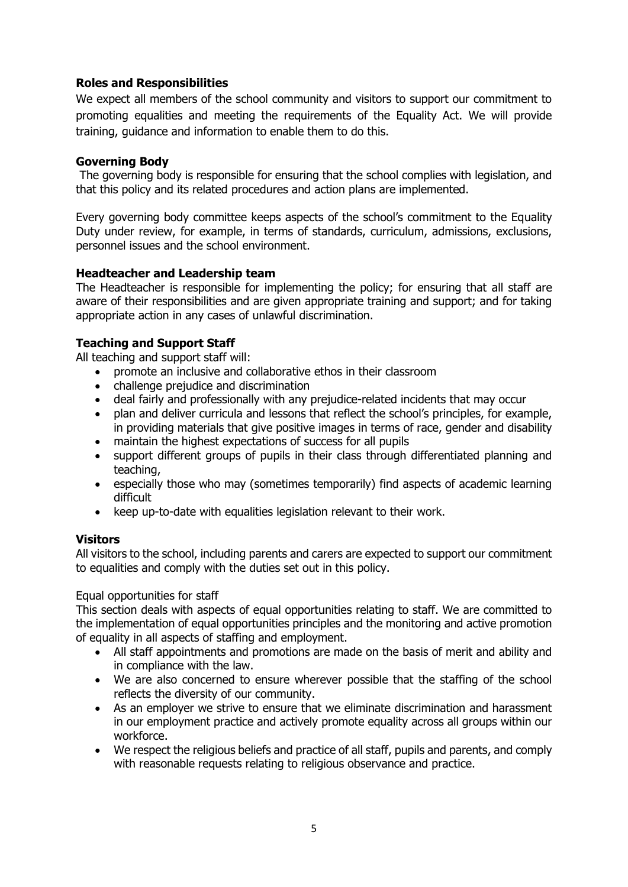# **Roles and Responsibilities**

We expect all members of the school community and visitors to support our commitment to promoting equalities and meeting the requirements of the Equality Act. We will provide training, guidance and information to enable them to do this.

#### **Governing Body**

The governing body is responsible for ensuring that the school complies with legislation, and that this policy and its related procedures and action plans are implemented.

Every governing body committee keeps aspects of the school's commitment to the Equality Duty under review, for example, in terms of standards, curriculum, admissions, exclusions, personnel issues and the school environment.

#### **Headteacher and Leadership team**

The Headteacher is responsible for implementing the policy; for ensuring that all staff are aware of their responsibilities and are given appropriate training and support; and for taking appropriate action in any cases of unlawful discrimination.

# **Teaching and Support Staff**

All teaching and support staff will:

- promote an inclusive and collaborative ethos in their classroom
- challenge prejudice and discrimination
- deal fairly and professionally with any prejudice-related incidents that may occur
- plan and deliver curricula and lessons that reflect the school's principles, for example, in providing materials that give positive images in terms of race, gender and disability
- maintain the highest expectations of success for all pupils
- support different groups of pupils in their class through differentiated planning and teaching,
- especially those who may (sometimes temporarily) find aspects of academic learning difficult
- keep up-to-date with equalities legislation relevant to their work.

#### **Visitors**

All visitors to the school, including parents and carers are expected to support our commitment to equalities and comply with the duties set out in this policy.

#### Equal opportunities for staff

This section deals with aspects of equal opportunities relating to staff. We are committed to the implementation of equal opportunities principles and the monitoring and active promotion of equality in all aspects of staffing and employment.

- All staff appointments and promotions are made on the basis of merit and ability and in compliance with the law.
- We are also concerned to ensure wherever possible that the staffing of the school reflects the diversity of our community.
- As an employer we strive to ensure that we eliminate discrimination and harassment in our employment practice and actively promote equality across all groups within our workforce.
- We respect the religious beliefs and practice of all staff, pupils and parents, and comply with reasonable requests relating to religious observance and practice.